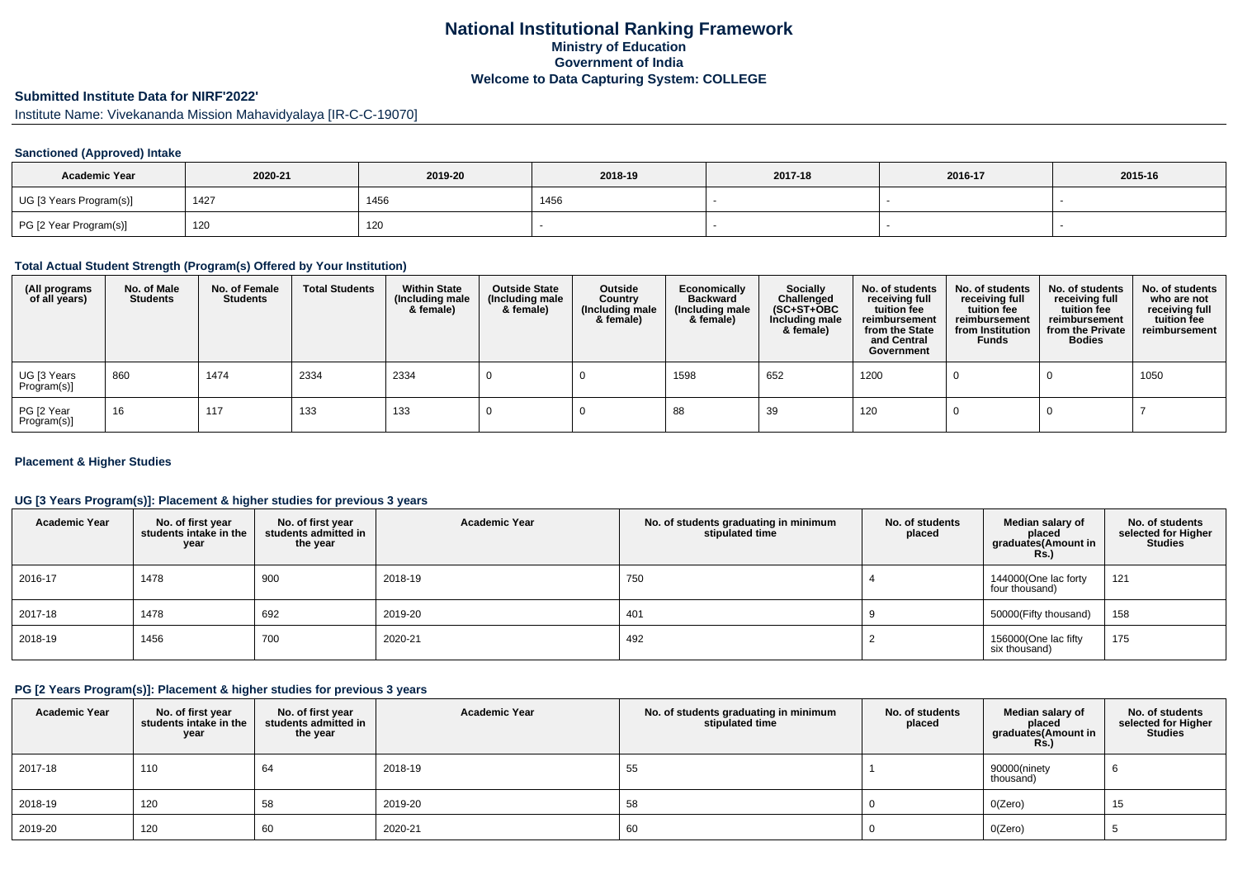## **National Institutional Ranking FrameworkMinistry of Education Government of IndiaWelcome to Data Capturing System: COLLEGE**

# **Submitted Institute Data for NIRF'2022'**

Institute Name: Vivekananda Mission Mahavidyalaya [IR-C-C-19070]

## **Sanctioned (Approved) Intake**

| <b>Academic Year</b>    | 2020-21 | 2019-20 | 2018-19 | 2017-18 | 2016-17 | 2015-16 |  |
|-------------------------|---------|---------|---------|---------|---------|---------|--|
| UG [3 Years Program(s)] | 1427    | 1456    | 1456    |         |         |         |  |
| PG [2 Year Program(s)]  | 120     | 120     |         |         |         |         |  |

#### **Total Actual Student Strength (Program(s) Offered by Your Institution)**

| (All programs<br>of all years) | No. of Male<br><b>Students</b> | No. of Female<br><b>Students</b> | <b>Total Students</b> | <b>Within State</b><br>(Including male<br>& female) | <b>Outside State</b><br>(Including male<br>& female) | Outside<br>Country<br>(Including male<br>& female) | Economically<br><b>Backward</b><br>(Including male<br>& female) | <b>Socially</b><br>Challenged<br>$(SC+ST+OBC)$<br>Including male<br>& female) | No. of students<br>receiving full<br>tuition fee<br>reimbursement<br>from the State<br>and Central<br>Government | No. of students<br>receiving full<br>tuition fee<br>reimbursement<br>from Institution<br><b>Funds</b> | No. of students<br>receiving full<br>tuition fee<br>reimbursement<br>from the Private<br><b>Bodies</b> | No. of students<br>who are not<br>receiving full<br>tuition fee<br>reimbursement |
|--------------------------------|--------------------------------|----------------------------------|-----------------------|-----------------------------------------------------|------------------------------------------------------|----------------------------------------------------|-----------------------------------------------------------------|-------------------------------------------------------------------------------|------------------------------------------------------------------------------------------------------------------|-------------------------------------------------------------------------------------------------------|--------------------------------------------------------------------------------------------------------|----------------------------------------------------------------------------------|
| UG [3 Years<br>Program(s)]     | 860                            | 1474                             | 2334                  | 2334                                                |                                                      |                                                    | 1598                                                            | 652                                                                           | 1200                                                                                                             |                                                                                                       |                                                                                                        | 1050                                                                             |
| PG [2 Year<br>Program(s)]      | 16                             | 117                              | 133                   | 133                                                 |                                                      |                                                    | 88                                                              | 39                                                                            | 120                                                                                                              |                                                                                                       |                                                                                                        |                                                                                  |

#### **Placement & Higher Studies**

## **UG [3 Years Program(s)]: Placement & higher studies for previous 3 years**

| <b>Academic Year</b> | No. of first year<br>students intake in the<br>year | No. of first vear<br>students admitted in<br>the year | <b>Academic Year</b> | No. of students graduating in minimum<br>stipulated time | No. of students<br>placed | Median salary of<br>placed<br>graduates(Amount in<br>Rs.) | No. of students<br>selected for Higher<br><b>Studies</b> |
|----------------------|-----------------------------------------------------|-------------------------------------------------------|----------------------|----------------------------------------------------------|---------------------------|-----------------------------------------------------------|----------------------------------------------------------|
| 2016-17              | 1478                                                | 900                                                   | 2018-19              | 750                                                      |                           | 144000(One lac forty<br>four thousand)                    | 121                                                      |
| 2017-18              | 1478                                                | 692                                                   | 2019-20              | 401                                                      |                           | 50000(Fifty thousand)                                     | 158                                                      |
| 2018-19              | 1456                                                | 700                                                   | 2020-21              | 492                                                      |                           | 156000(One lac fifty<br>six thousand)                     | 175                                                      |

## **PG [2 Years Program(s)]: Placement & higher studies for previous 3 years**

| <b>Academic Year</b> | No. of first year<br>students intake in the<br>year | No. of first year<br>students admitted in<br>the year | <b>Academic Year</b> | No. of students graduating in minimum<br>stipulated time | No. of students<br>placed | Median salary of<br>placed<br>graduates(Amount in<br><b>Rs.)</b> | No. of students<br>selected for Higher<br><b>Studies</b> |
|----------------------|-----------------------------------------------------|-------------------------------------------------------|----------------------|----------------------------------------------------------|---------------------------|------------------------------------------------------------------|----------------------------------------------------------|
| 2017-18              | 110                                                 | 64                                                    | 2018-19              | 55                                                       |                           | 90000(ninety<br>thousand)                                        | b                                                        |
| 2018-19              | 120                                                 | 58                                                    | 2019-20              | 58                                                       |                           | O(Zero)                                                          | 15                                                       |
| 2019-20              | 120                                                 | 60                                                    | 2020-21              | 60                                                       |                           | O(Zero)                                                          |                                                          |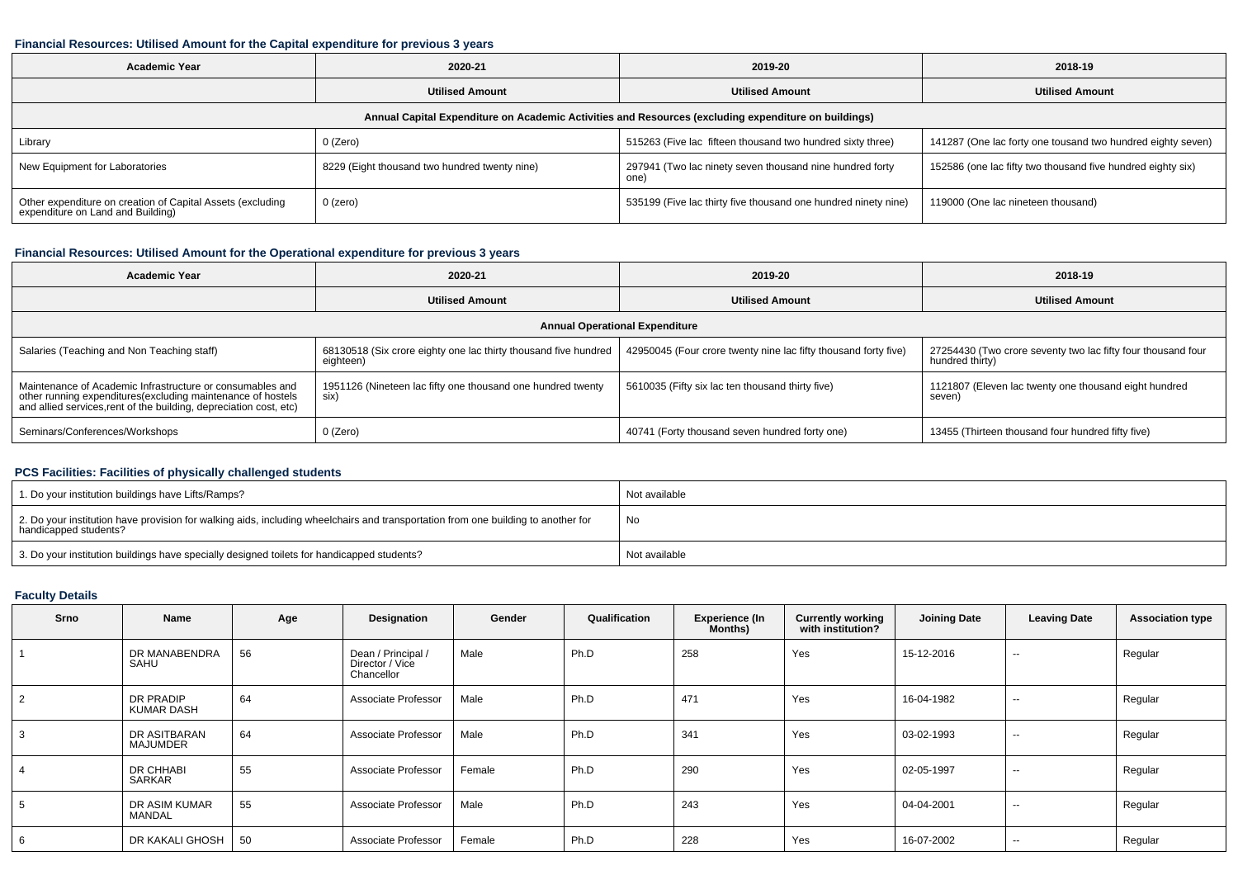#### **Financial Resources: Utilised Amount for the Capital expenditure for previous 3 years**

| <b>Academic Year</b>                                                                                 | 2020-21                                       | 2019-20                                                          | 2018-19                                                     |  |  |  |  |  |  |  |  |
|------------------------------------------------------------------------------------------------------|-----------------------------------------------|------------------------------------------------------------------|-------------------------------------------------------------|--|--|--|--|--|--|--|--|
|                                                                                                      | <b>Utilised Amount</b>                        | <b>Utilised Amount</b>                                           | <b>Utilised Amount</b>                                      |  |  |  |  |  |  |  |  |
| Annual Capital Expenditure on Academic Activities and Resources (excluding expenditure on buildings) |                                               |                                                                  |                                                             |  |  |  |  |  |  |  |  |
| Library                                                                                              | 0 (Zero)                                      | 515263 (Five lac fifteen thousand two hundred sixty three)       | 141287 (One lac forty one tousand two hundred eighty seven) |  |  |  |  |  |  |  |  |
| New Equipment for Laboratories                                                                       | 8229 (Eight thousand two hundred twenty nine) | 297941 (Two lac ninety seven thousand nine hundred forty<br>one) | 152586 (one lac fifty two thousand five hundred eighty six) |  |  |  |  |  |  |  |  |
| Other expenditure on creation of Capital Assets (excluding<br>expenditure on Land and Building)      | $0$ (zero)                                    | 535199 (Five lac thirty five thousand one hundred ninety nine)   | 119000 (One lac nineteen thousand)                          |  |  |  |  |  |  |  |  |

#### **Financial Resources: Utilised Amount for the Operational expenditure for previous 3 years**

| <b>Academic Year</b>                                                                                                                                                                            | 2020-21                                                                      | 2019-20                                                         | 2018-19                                                                         |  |  |  |  |  |  |  |
|-------------------------------------------------------------------------------------------------------------------------------------------------------------------------------------------------|------------------------------------------------------------------------------|-----------------------------------------------------------------|---------------------------------------------------------------------------------|--|--|--|--|--|--|--|
|                                                                                                                                                                                                 | <b>Utilised Amount</b>                                                       | <b>Utilised Amount</b>                                          | <b>Utilised Amount</b>                                                          |  |  |  |  |  |  |  |
| <b>Annual Operational Expenditure</b>                                                                                                                                                           |                                                                              |                                                                 |                                                                                 |  |  |  |  |  |  |  |
| Salaries (Teaching and Non Teaching staff)                                                                                                                                                      | 68130518 (Six crore eighty one lac thirty thousand five hundred<br>eighteen) | 42950045 (Four crore twenty nine lac fifty thousand forty five) | 27254430 (Two crore seventy two lac fifty four thousand four<br>hundred thirty) |  |  |  |  |  |  |  |
| Maintenance of Academic Infrastructure or consumables and<br>other running expenditures (excluding maintenance of hostels<br>and allied services, rent of the building, depreciation cost, etc) | 1951126 (Nineteen lac fifty one thousand one hundred twenty<br>six)          | 5610035 (Fifty six lac ten thousand thirty five)                | 1121807 (Eleven lac twenty one thousand eight hundred<br>seven)                 |  |  |  |  |  |  |  |
| Seminars/Conferences/Workshops                                                                                                                                                                  | 0 (Zero)                                                                     | 40741 (Forty thousand seven hundred forty one)                  | 13455 (Thirteen thousand four hundred fifty five)                               |  |  |  |  |  |  |  |

#### **PCS Facilities: Facilities of physically challenged students**

| 1. Do your institution buildings have Lifts/Ramps?                                                                                                         | Not available |
|------------------------------------------------------------------------------------------------------------------------------------------------------------|---------------|
| 2. Do your institution have provision for walking aids, including wheelchairs and transportation from one building to another for<br>handicapped students? | No            |
| 3. Do your institution buildings have specially designed toilets for handicapped students?                                                                 | Not available |

## **Faculty Details**

| Srno           | Name                     | Age | Designation                                         | Gender | Qualification | <b>Experience (In</b><br>Months) | <b>Currently working</b><br>with institution? | <b>Joining Date</b> | <b>Leaving Date</b> | <b>Association type</b> |
|----------------|--------------------------|-----|-----------------------------------------------------|--------|---------------|----------------------------------|-----------------------------------------------|---------------------|---------------------|-------------------------|
|                | DR MANABENDRA<br>SAHU    | 56  | Dean / Principal /<br>Director / Vice<br>Chancellor | Male   | Ph.D          | 258                              | Yes                                           | 15-12-2016          | $\sim$              | Regular                 |
| $\overline{2}$ | DR PRADIP<br>KUMAR DASH  | 64  | Associate Professor                                 | Male   | Ph.D          | 471                              | Yes                                           | 16-04-1982          | $\sim$              | Regular                 |
| 3              | DR ASITBARAN<br>MAJUMDER | 64  | Associate Professor                                 | Male   | Ph.D          | 341                              | Yes                                           | 03-02-1993          | $\sim$              | Regular                 |
|                | DR CHHABI<br>SARKAR      | 55  | Associate Professor                                 | Female | Ph.D          | 290                              | Yes                                           | 02-05-1997          | $-$                 | Regular                 |
|                | DR ASIM KUMAR<br>MANDAL  | 55  | Associate Professor                                 | Male   | Ph.D          | 243                              | Yes                                           | 04-04-2001          | $-$                 | Regular                 |
| 6              | DR KAKALI GHOSH          | 50  | Associate Professor                                 | Female | Ph.D          | 228                              | Yes                                           | 16-07-2002          | $\sim$              | Regular                 |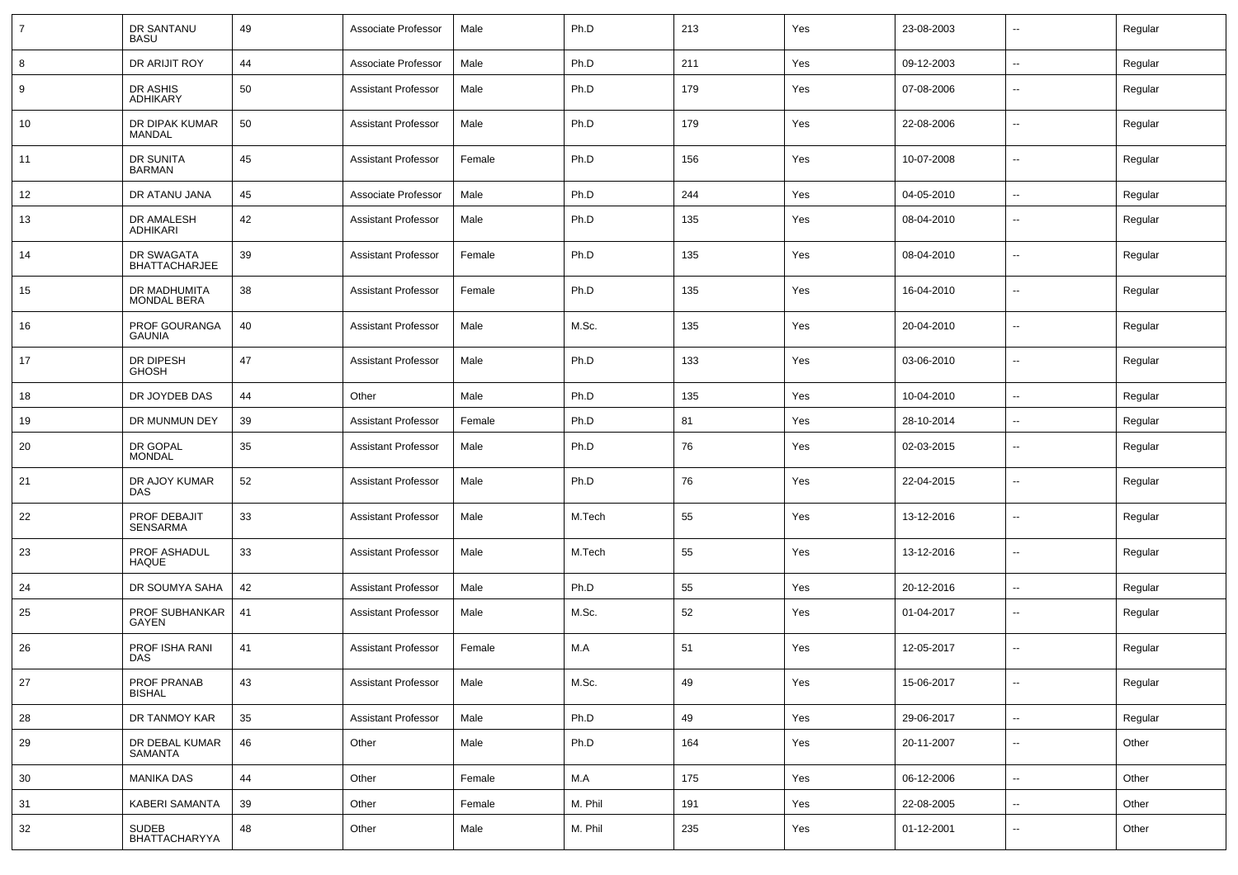| $\overline{7}$ | DR SANTANU<br><b>BASU</b>          | 49 | Associate Professor        | Male   | Ph.D    | 213 | Yes | 23-08-2003 | $\overline{\phantom{a}}$ | Regular |
|----------------|------------------------------------|----|----------------------------|--------|---------|-----|-----|------------|--------------------------|---------|
| 8              | DR ARIJIT ROY                      | 44 | Associate Professor        | Male   | Ph.D    | 211 | Yes | 09-12-2003 | $\sim$                   | Regular |
| 9              | DR ASHIS<br><b>ADHIKARY</b>        | 50 | <b>Assistant Professor</b> | Male   | Ph.D    | 179 | Yes | 07-08-2006 | $\overline{\phantom{a}}$ | Regular |
| 10             | DR DIPAK KUMAR<br>MANDAL           | 50 | <b>Assistant Professor</b> | Male   | Ph.D    | 179 | Yes | 22-08-2006 | $\overline{\phantom{a}}$ | Regular |
| 11             | DR SUNITA<br><b>BARMAN</b>         | 45 | <b>Assistant Professor</b> | Female | Ph.D    | 156 | Yes | 10-07-2008 | $\overline{\phantom{a}}$ | Regular |
| 12             | DR ATANU JANA                      | 45 | Associate Professor        | Male   | Ph.D    | 244 | Yes | 04-05-2010 | $\overline{\phantom{a}}$ | Regular |
| 13             | DR AMALESH<br><b>ADHIKARI</b>      | 42 | <b>Assistant Professor</b> | Male   | Ph.D    | 135 | Yes | 08-04-2010 | $\overline{\phantom{a}}$ | Regular |
| 14             | DR SWAGATA<br><b>BHATTACHARJEE</b> | 39 | <b>Assistant Professor</b> | Female | Ph.D    | 135 | Yes | 08-04-2010 | $\mathbf{u}$             | Regular |
| 15             | DR MADHUMITA<br><b>MONDAL BERA</b> | 38 | <b>Assistant Professor</b> | Female | Ph.D    | 135 | Yes | 16-04-2010 | $\mathbf{u}$             | Regular |
| 16             | PROF GOURANGA<br><b>GAUNIA</b>     | 40 | <b>Assistant Professor</b> | Male   | M.Sc.   | 135 | Yes | 20-04-2010 | $\mathbf{u}$             | Regular |
| 17             | DR DIPESH<br><b>GHOSH</b>          | 47 | <b>Assistant Professor</b> | Male   | Ph.D    | 133 | Yes | 03-06-2010 | $\mathbf{u}$             | Regular |
| 18             | DR JOYDEB DAS                      | 44 | Other                      | Male   | Ph.D    | 135 | Yes | 10-04-2010 | $\mathbf{u}$             | Regular |
| 19             | DR MUNMUN DEY                      | 39 | <b>Assistant Professor</b> | Female | Ph.D    | 81  | Yes | 28-10-2014 | $\overline{\phantom{a}}$ | Regular |
| 20             | DR GOPAL<br><b>MONDAL</b>          | 35 | <b>Assistant Professor</b> | Male   | Ph.D    | 76  | Yes | 02-03-2015 | --                       | Regular |
| 21             | DR AJOY KUMAR<br><b>DAS</b>        | 52 | <b>Assistant Professor</b> | Male   | Ph.D    | 76  | Yes | 22-04-2015 | --                       | Regular |
| 22             | PROF DEBAJIT<br><b>SENSARMA</b>    | 33 | <b>Assistant Professor</b> | Male   | M.Tech  | 55  | Yes | 13-12-2016 | --                       | Regular |
| 23             | PROF ASHADUL<br><b>HAQUE</b>       | 33 | <b>Assistant Professor</b> | Male   | M.Tech  | 55  | Yes | 13-12-2016 | --                       | Regular |
| 24             | DR SOUMYA SAHA                     | 42 | <b>Assistant Professor</b> | Male   | Ph.D    | 55  | Yes | 20-12-2016 | $\mathbf{u}$             | Regular |
| 25             | PROF SUBHANKAR<br>GAYEN            | 41 | <b>Assistant Professor</b> | Male   | M.Sc.   | 52  | Yes | 01-04-2017 | $\sim$                   | Regular |
| 26             | PROF ISHA RANI<br><b>DAS</b>       | 41 | <b>Assistant Professor</b> | Female | M.A     | 51  | Yes | 12-05-2017 | $\mathbf{u}$             | Regular |
| 27             | PROF PRANAB<br><b>BISHAL</b>       | 43 | <b>Assistant Professor</b> | Male   | M.Sc.   | 49  | Yes | 15-06-2017 | $\sim$                   | Regular |
| 28             | DR TANMOY KAR                      | 35 | <b>Assistant Professor</b> | Male   | Ph.D    | 49  | Yes | 29-06-2017 | $\overline{\phantom{a}}$ | Regular |
| 29             | DR DEBAL KUMAR<br>SAMANTA          | 46 | Other                      | Male   | Ph.D    | 164 | Yes | 20-11-2007 | $\sim$                   | Other   |
| 30             | <b>MANIKA DAS</b>                  | 44 | Other                      | Female | M.A     | 175 | Yes | 06-12-2006 | $\sim$                   | Other   |
| 31             | <b>KABERI SAMANTA</b>              | 39 | Other                      | Female | M. Phil | 191 | Yes | 22-08-2005 | $\sim$                   | Other   |
| 32             | SUDEB<br>BHATTACHARYYA             | 48 | Other                      | Male   | M. Phil | 235 | Yes | 01-12-2001 | $\sim$                   | Other   |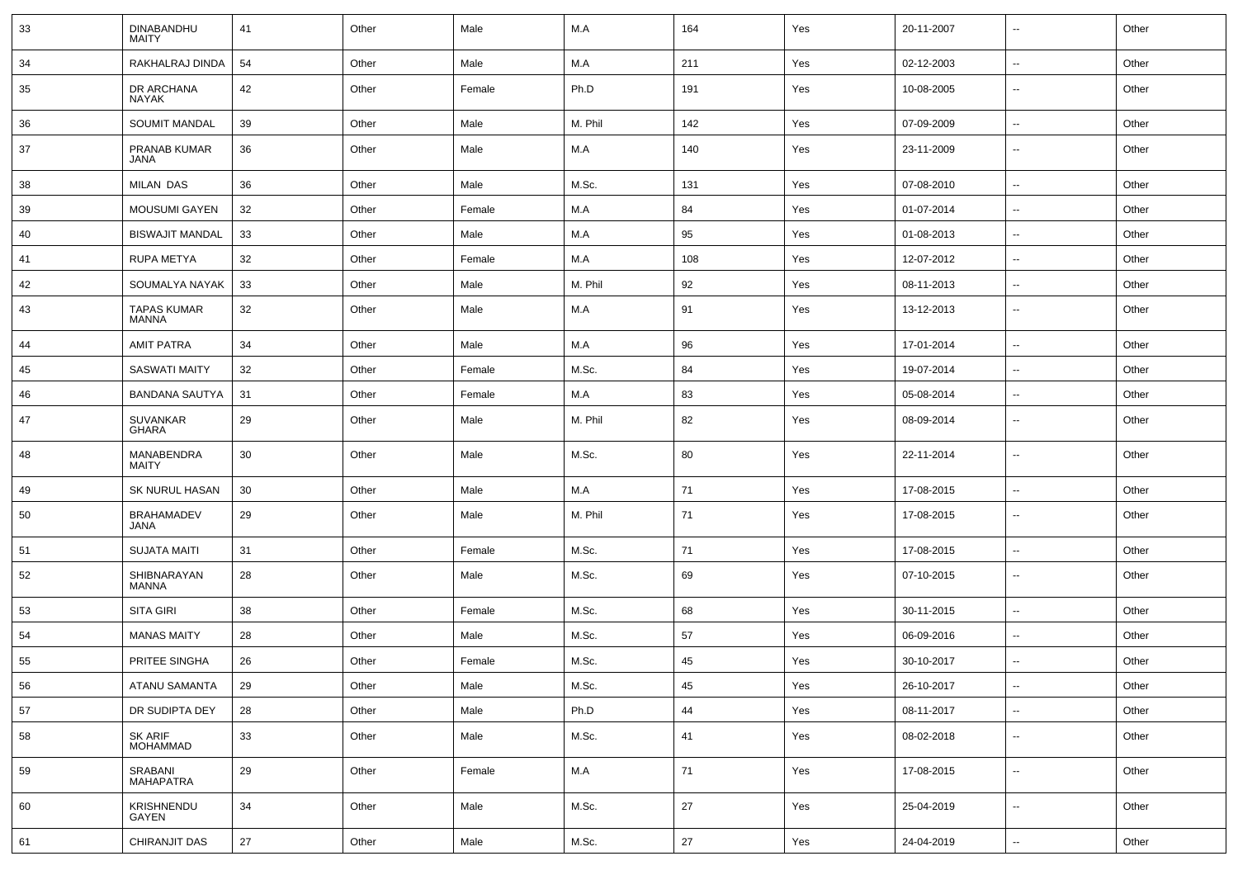| 33 | <b>DINABANDHU</b><br><b>MAITY</b>  | 41 | Other | Male   | M.A         | 164 | Yes | 20-11-2007 | $\overline{\phantom{a}}$ | Other |
|----|------------------------------------|----|-------|--------|-------------|-----|-----|------------|--------------------------|-------|
| 34 | RAKHALRAJ DINDA                    | 54 | Other | Male   | M.A         | 211 | Yes | 02-12-2003 | ⊷.                       | Other |
| 35 | DR ARCHANA<br>NAYAK                | 42 | Other | Female | Ph.D        | 191 | Yes | 10-08-2005 | ⊷.                       | Other |
| 36 | <b>SOUMIT MANDAL</b>               | 39 | Other | Male   | M. Phil     | 142 | Yes | 07-09-2009 | ⊷.                       | Other |
| 37 | PRANAB KUMAR<br><b>JANA</b>        | 36 | Other | Male   | M.A         | 140 | Yes | 23-11-2009 | ⊷.                       | Other |
| 38 | MILAN DAS                          | 36 | Other | Male   | M.Sc.       | 131 | Yes | 07-08-2010 | ⊷.                       | Other |
| 39 | <b>MOUSUMI GAYEN</b>               | 32 | Other | Female | M.A         | 84  | Yes | 01-07-2014 | $\overline{\phantom{a}}$ | Other |
| 40 | <b>BISWAJIT MANDAL</b>             | 33 | Other | Male   | M.A         | 95  | Yes | 01-08-2013 | $\overline{\phantom{a}}$ | Other |
| 41 | RUPA METYA                         | 32 | Other | Female | M.A         | 108 | Yes | 12-07-2012 | $\sim$                   | Other |
| 42 | SOUMALYA NAYAK                     | 33 | Other | Male   | M. Phil     | 92  | Yes | 08-11-2013 | ⊷.                       | Other |
| 43 | <b>TAPAS KUMAR</b><br><b>MANNA</b> | 32 | Other | Male   | M.A         | 91  | Yes | 13-12-2013 | ⊷.                       | Other |
| 44 | <b>AMIT PATRA</b>                  | 34 | Other | Male   | M.A         | 96  | Yes | 17-01-2014 | ⊷.                       | Other |
| 45 | <b>SASWATI MAITY</b>               | 32 | Other | Female | M.Sc.       | 84  | Yes | 19-07-2014 | ⊷.                       | Other |
| 46 | <b>BANDANA SAUTYA</b>              | 31 | Other | Female | M.A         | 83  | Yes | 05-08-2014 | $\overline{\phantom{a}}$ | Other |
| 47 | <b>SUVANKAR</b><br><b>GHARA</b>    | 29 | Other | Male   | M. Phil     | 82  | Yes | 08-09-2014 | -−                       | Other |
| 48 | MANABENDRA<br>MAITY                | 30 | Other | Male   | M.Sc.       | 80  | Yes | 22-11-2014 | $\overline{\phantom{a}}$ | Other |
| 49 | SK NURUL HASAN                     | 30 | Other | Male   | M.A         | 71  | Yes | 17-08-2015 | ⊷.                       | Other |
| 50 | <b>BRAHAMADEV</b><br>JANA          | 29 | Other | Male   | M. Phil     | 71  | Yes | 17-08-2015 | $\overline{\phantom{a}}$ | Other |
| 51 | <b>SUJATA MAITI</b>                | 31 | Other | Female | M.Sc.       | 71  | Yes | 17-08-2015 | $\overline{\phantom{a}}$ | Other |
| 52 | SHIBNARAYAN<br>MANNA               | 28 | Other | Male   | M.Sc.       | 69  | Yes | 07-10-2015 | ⊷.                       | Other |
| 53 | <b>SITA GIRI</b>                   | 38 | Other | Female | M.Sc.       | 68  | Yes | 30-11-2015 | ⊶.                       | Other |
| 54 | <b>MANAS MAITY</b>                 | 28 | Other | Male   | M.Sc.       | 57  | Yes | 06-09-2016 | ⊷.                       | Other |
| 55 | PRITEE SINGHA                      | 26 | Other | Female | M.Sc.       | 45  | Yes | 30-10-2017 | --                       | Other |
| 56 | <b>ATANU SAMANTA</b>               | 29 | Other | Male   | M.Sc.       | 45  | Yes | 26-10-2017 | Щ,                       | Other |
| 57 | DR SUDIPTA DEY                     | 28 | Other | Male   | Ph.D        | 44  | Yes | 08-11-2017 | ⊷.                       | Other |
| 58 | SK ARIF<br>MOHAMMAD                | 33 | Other | Male   | M.Sc.       | 41  | Yes | 08-02-2018 | $\overline{\phantom{a}}$ | Other |
| 59 | SRABANI<br>MAHAPATRA               | 29 | Other | Female | ${\sf M.A}$ | 71  | Yes | 17-08-2015 | Щ,                       | Other |
| 60 | KRISHNENDU<br>GAYEN                | 34 | Other | Male   | M.Sc.       | 27  | Yes | 25-04-2019 | ш.                       | Other |
| 61 | CHIRANJIT DAS                      | 27 | Other | Male   | M.Sc.       | 27  | Yes | 24-04-2019 | ц.                       | Other |